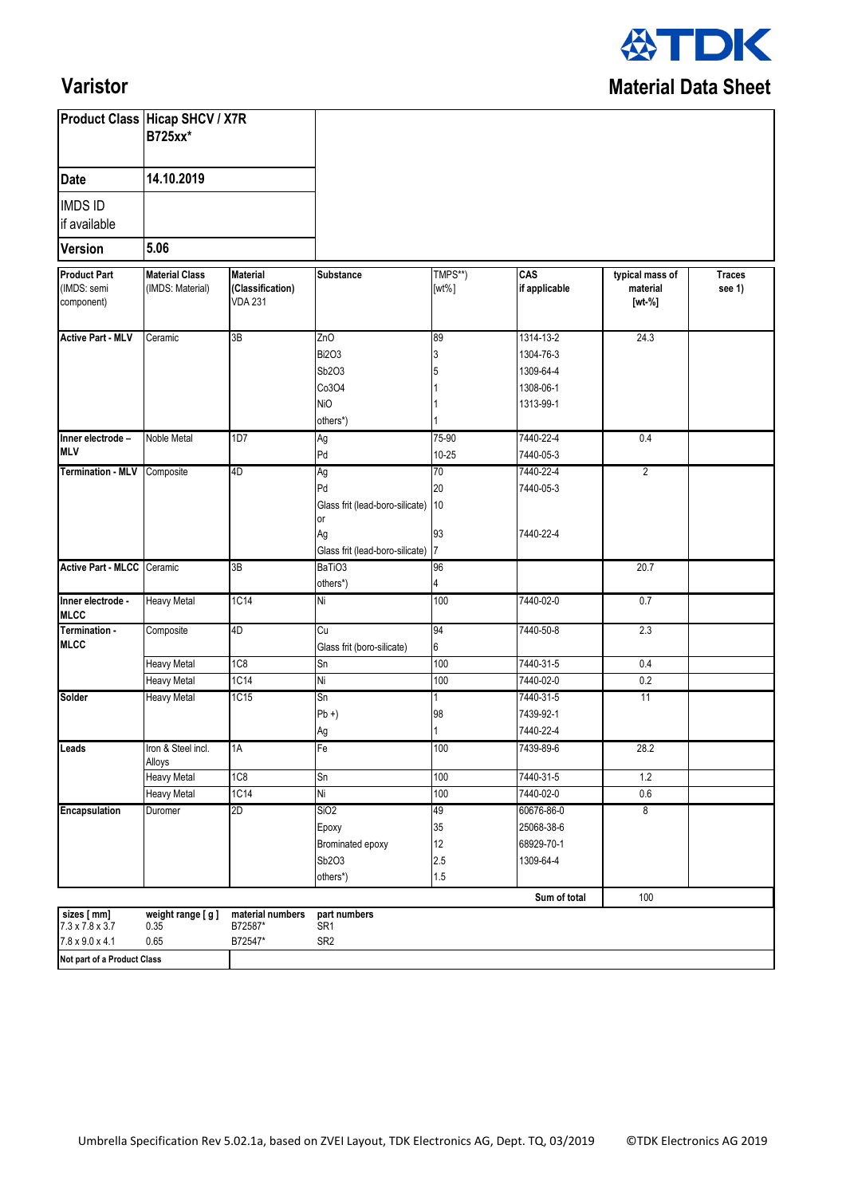

## **Varistor**

|                                                                                                          | <b>Product Class Hicap SHCV / X7R</b><br><b>B725xx*</b><br>14.10.2019<br>5.06 |                                                       |                                                                                               |                              |                                                               |                                         |                         |
|----------------------------------------------------------------------------------------------------------|-------------------------------------------------------------------------------|-------------------------------------------------------|-----------------------------------------------------------------------------------------------|------------------------------|---------------------------------------------------------------|-----------------------------------------|-------------------------|
| <b>Date</b>                                                                                              |                                                                               |                                                       |                                                                                               |                              |                                                               |                                         |                         |
| <b>IMDS ID</b><br>if available                                                                           |                                                                               |                                                       |                                                                                               |                              |                                                               |                                         |                         |
| <b>Version</b>                                                                                           |                                                                               |                                                       |                                                                                               |                              |                                                               |                                         |                         |
| <b>Product Part</b><br>(IMDS: semi<br>component)                                                         | <b>Material Class</b><br>(IMDS: Material)                                     | <b>Material</b><br>(Classification)<br><b>VDA 231</b> | <b>Substance</b>                                                                              | TMPS**)<br>$[wt\%]$          | CAS<br>if applicable                                          | typical mass of<br>material<br>$[wt-%]$ | <b>Traces</b><br>see 1) |
| <b>Active Part - MLV</b>                                                                                 | Ceramic                                                                       | 3B                                                    | ZnO<br><b>Bi2O3</b><br>Sb2O3<br>Co3O4<br><b>NiO</b><br>others*)                               | 89<br>3<br>5                 | 1314-13-2<br>1304-76-3<br>1309-64-4<br>1308-06-1<br>1313-99-1 | 24.3                                    |                         |
| Inner electrode -<br><b>MLV</b>                                                                          | Noble Metal                                                                   | 1D7                                                   | Ag<br>Pd                                                                                      | 75-90<br>$10 - 25$           | 7440-22-4<br>7440-05-3                                        | 0.4                                     |                         |
| Termination - MLV Composite                                                                              |                                                                               | 4D                                                    | Ag<br>Pd<br>Glass frit (lead-boro-silicate) 10<br>or<br>Ag<br>Glass frit (lead-boro-silicate) | 70<br>20<br>93<br>17         | 7440-22-4<br>7440-05-3<br>7440-22-4                           | $\overline{2}$                          |                         |
| <b>Active Part - MLCC</b>                                                                                | Ceramic                                                                       | 3B                                                    | BaTiO <sub>3</sub><br>others*)                                                                | 96<br>4                      |                                                               | 20.7                                    |                         |
| Inner electrode -<br><b>MLCC</b>                                                                         | <b>Heavy Metal</b>                                                            | 1C14                                                  | Ni                                                                                            | 100                          | 7440-02-0                                                     | 0.7                                     |                         |
| Termination -<br><b>MLCC</b>                                                                             | Composite                                                                     | 4D                                                    | Cu<br>Glass frit (boro-silicate)                                                              | 94<br>6                      | 7440-50-8                                                     | 2.3                                     |                         |
|                                                                                                          | <b>Heavy Metal</b>                                                            | 1C <sub>8</sub>                                       | Sn                                                                                            | 100                          | 7440-31-5                                                     | 0.4                                     |                         |
|                                                                                                          | <b>Heavy Metal</b>                                                            | 1C14                                                  | Ni                                                                                            | 100                          | 7440-02-0                                                     | 0.2                                     |                         |
| Solder                                                                                                   | <b>Heavy Metal</b>                                                            | 1C15                                                  | Sn<br>$Pb +$<br>Ag                                                                            | 1<br>98                      | 7440-31-5<br>7439-92-1<br>7440-22-4                           | 11                                      |                         |
| Leads                                                                                                    | Iron & Steel incl.<br>Alloys                                                  | 1A                                                    | Fe                                                                                            | 100                          | 7439-89-6                                                     | 28.2                                    |                         |
|                                                                                                          | <b>Heavy Metal</b>                                                            | 1C <sub>8</sub>                                       | Sn                                                                                            | 100                          | 7440-31-5                                                     | 1.2                                     |                         |
|                                                                                                          | <b>Heavy Metal</b>                                                            | 1C14                                                  | Ni                                                                                            | 100                          | 7440-02-0                                                     | $0.6\,$                                 |                         |
| Encapsulation                                                                                            | Duromer                                                                       | 2D                                                    | SiO <sub>2</sub><br>Epoxy<br>Brominated epoxy<br>Sb2O3<br>others*)                            | 49<br>35<br>12<br>2.5<br>1.5 | 60676-86-0<br>25068-38-6<br>68929-70-1<br>1309-64-4           | 8                                       |                         |
|                                                                                                          |                                                                               |                                                       |                                                                                               |                              | Sum of total                                                  | 100                                     |                         |
| sizes [ mm]<br>$7.3 \times 7.8 \times 3.7$<br>$7.8 \times 9.0 \times 4.1$<br>Not part of a Product Class | weight range [g]<br>0.35<br>0.65                                              | material numbers<br>B72587*<br>B72547*                | part numbers<br>SR <sub>1</sub><br>SR <sub>2</sub>                                            |                              |                                                               |                                         |                         |